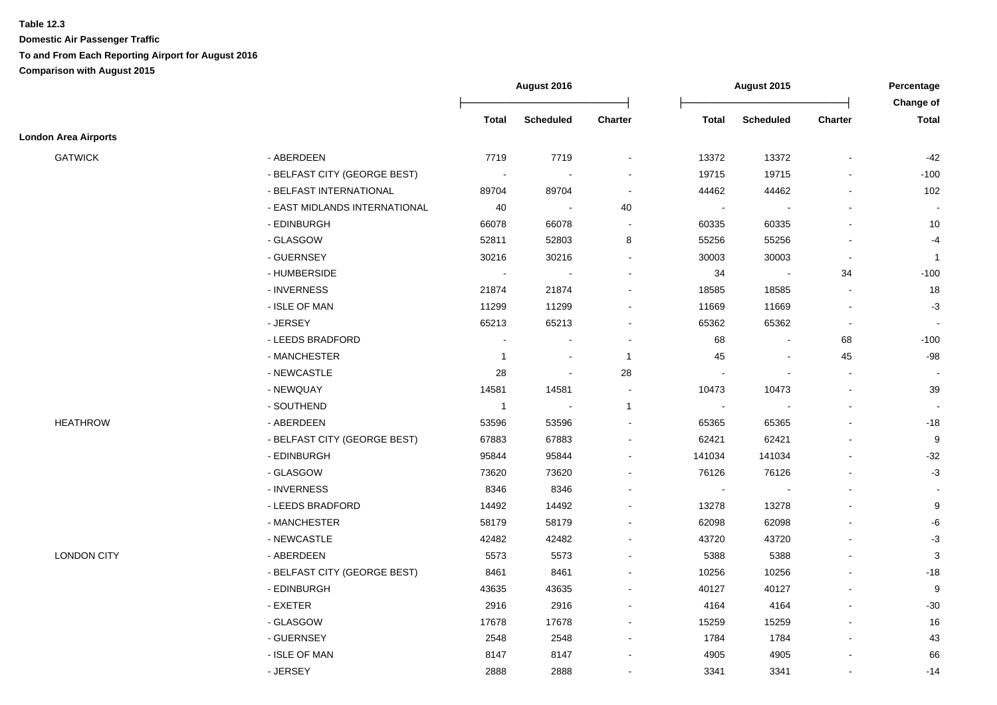|                             |                               | <b>August 2016</b> |                          |                          | <b>August 2015</b> |                          | Percentage               |                           |
|-----------------------------|-------------------------------|--------------------|--------------------------|--------------------------|--------------------|--------------------------|--------------------------|---------------------------|
|                             |                               | <b>Total</b>       | <b>Scheduled</b>         | <b>Charter</b>           | <b>Total</b>       | <b>Scheduled</b>         | <b>Charter</b>           | Change of<br><b>Total</b> |
| <b>London Area Airports</b> |                               |                    |                          |                          |                    |                          |                          |                           |
| <b>GATWICK</b>              | - ABERDEEN                    | 7719               | 7719                     | $\blacksquare$           | 13372              | 13372                    | $\blacksquare$           | -42                       |
|                             | - BELFAST CITY (GEORGE BEST)  | $\blacksquare$     |                          | $\overline{\phantom{a}}$ | 19715              | 19715                    |                          | $-100$                    |
|                             | - BELFAST INTERNATIONAL       | 89704              | 89704                    | $\blacksquare$           | 44462              | 44462                    |                          | 102                       |
|                             | - EAST MIDLANDS INTERNATIONAL | 40                 | $\overline{\phantom{a}}$ | 40                       | $\sim$             |                          |                          | $\sim$                    |
|                             | - EDINBURGH                   | 66078              | 66078                    | ÷,                       | 60335              | 60335                    |                          | 10                        |
|                             | - GLASGOW                     | 52811              | 52803                    | 8                        | 55256              | 55256                    |                          | -4                        |
|                             | - GUERNSEY                    | 30216              | 30216                    | $\blacksquare$           | 30003              | 30003                    | $\blacksquare$           | $\overline{1}$            |
|                             | - HUMBERSIDE                  | $\blacksquare$     | $\sim$                   | $\overline{a}$           | 34                 | $\blacksquare$           | 34                       | $-100$                    |
|                             | - INVERNESS                   | 21874              | 21874                    | ÷,                       | 18585              | 18585                    | $\blacksquare$           | 18                        |
|                             | - ISLE OF MAN                 | 11299              | 11299                    | $\blacksquare$           | 11669              | 11669                    | $\overline{\phantom{a}}$ | $-3$                      |
|                             | - JERSEY                      | 65213              | 65213                    | $\overline{a}$           | 65362              | 65362                    | $\blacksquare$           | $\sim$                    |
|                             | - LEEDS BRADFORD              |                    |                          |                          | 68                 |                          | 68                       | $-100$                    |
|                             | - MANCHESTER                  | $\mathbf{1}$       |                          | $\mathbf{1}$             | 45                 | $\blacksquare$           | 45                       | -98                       |
|                             | - NEWCASTLE                   | 28                 | $\blacksquare$           | 28                       | $\blacksquare$     | $\overline{\phantom{a}}$ | $\blacksquare$           | $\sim$                    |
|                             | - NEWQUAY                     | 14581              | 14581                    |                          | 10473              | 10473                    |                          | 39                        |
|                             | - SOUTHEND                    | $\mathbf{1}$       |                          | $\mathbf{1}$             | $\sim$             |                          |                          | $\blacksquare$            |
| <b>HEATHROW</b>             | - ABERDEEN                    | 53596              | 53596                    | ÷,                       | 65365              | 65365                    |                          | $-18$                     |
|                             | - BELFAST CITY (GEORGE BEST)  | 67883              | 67883                    | $\blacksquare$           | 62421              | 62421                    |                          | 9                         |
|                             | - EDINBURGH                   | 95844              | 95844                    | $\blacksquare$           | 141034             | 141034                   |                          | $-32$                     |
|                             | - GLASGOW                     | 73620              | 73620                    | $\blacksquare$           | 76126              | 76126                    |                          | $-3$                      |
|                             | - INVERNESS                   | 8346               | 8346                     | ÷,                       | $\sim$             | $\sim$                   |                          |                           |
|                             | - LEEDS BRADFORD              | 14492              | 14492                    | $\overline{a}$           | 13278              | 13278                    |                          | 9                         |
|                             | - MANCHESTER                  | 58179              | 58179                    |                          | 62098              | 62098                    |                          | -6                        |
|                             | - NEWCASTLE                   | 42482              | 42482                    | $\overline{\phantom{a}}$ | 43720              | 43720                    |                          | $-3$                      |
| <b>LONDON CITY</b>          | - ABERDEEN                    | 5573               | 5573                     |                          | 5388               | 5388                     |                          | $\mathbf{3}$              |
|                             | - BELFAST CITY (GEORGE BEST)  | 8461               | 8461                     |                          | 10256              | 10256                    |                          | $-18$                     |
|                             | - EDINBURGH                   | 43635              | 43635                    | ÷,                       | 40127              | 40127                    |                          | 9                         |
|                             | - EXETER                      | 2916               | 2916                     | $\blacksquare$           | 4164               | 4164                     |                          | $-30$                     |
|                             | - GLASGOW                     | 17678              | 17678                    | $\blacksquare$           | 15259              | 15259                    |                          | 16                        |
|                             | - GUERNSEY                    | 2548               | 2548                     | $\blacksquare$           | 1784               | 1784                     |                          | 43                        |
|                             | - ISLE OF MAN                 | 8147               | 8147                     |                          | 4905               | 4905                     |                          | 66                        |
|                             | - JERSEY                      | 2888               | 2888                     | $\blacksquare$           | 3341               | 3341                     |                          | $-14$                     |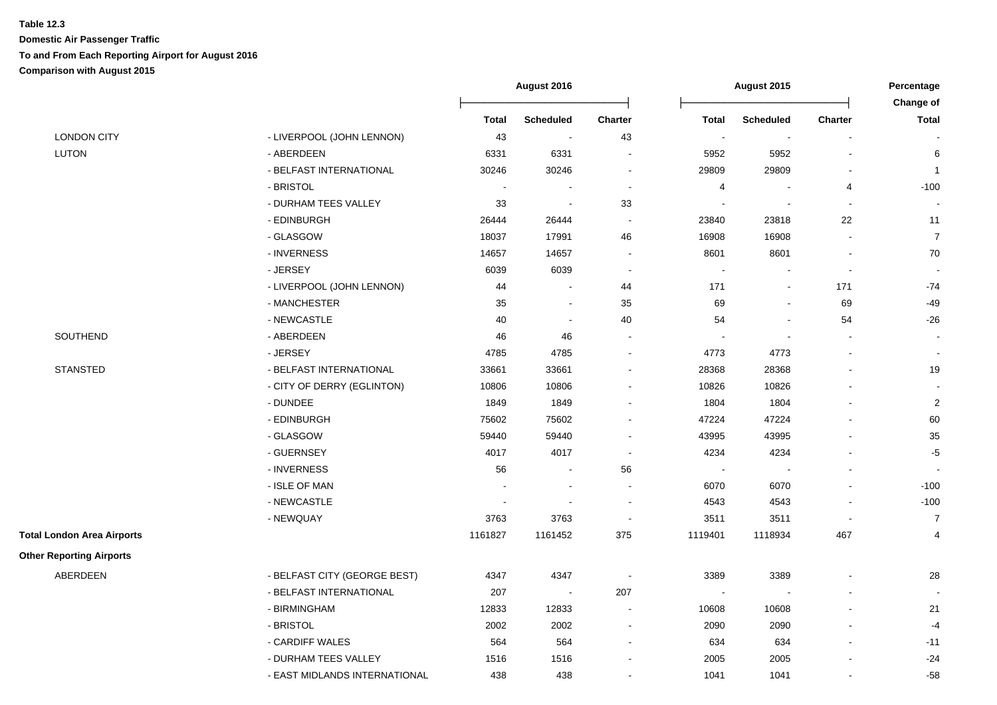|                                   |                               | <b>August 2016</b> |                  |                          |                          | <b>August 2015</b> |                          |                                  |
|-----------------------------------|-------------------------------|--------------------|------------------|--------------------------|--------------------------|--------------------|--------------------------|----------------------------------|
|                                   |                               | <b>Total</b>       | <b>Scheduled</b> | <b>Charter</b>           | <b>Total</b>             | <b>Scheduled</b>   | <b>Charter</b>           | <b>Change of</b><br><b>Total</b> |
| <b>LONDON CITY</b>                | - LIVERPOOL (JOHN LENNON)     | 43                 | $\sim$           | 43                       | $\blacksquare$           | $\blacksquare$     |                          |                                  |
| <b>LUTON</b>                      | - ABERDEEN                    | 6331               | 6331             | $\blacksquare$           | 5952                     | 5952               |                          | 6                                |
|                                   | - BELFAST INTERNATIONAL       | 30246              | 30246            | $\blacksquare$           | 29809                    | 29809              |                          | $\mathbf{1}$                     |
|                                   | - BRISTOL                     | $\blacksquare$     | $\sim$           | $\sim$                   | $\overline{4}$           |                    | $\overline{4}$           | $-100$                           |
|                                   | - DURHAM TEES VALLEY          | 33                 | $\blacksquare$   | 33                       | $\overline{\phantom{a}}$ |                    |                          |                                  |
|                                   | - EDINBURGH                   | 26444              | 26444            | $\blacksquare$           | 23840                    | 23818              | 22                       | 11                               |
|                                   | - GLASGOW                     | 18037              | 17991            | 46                       | 16908                    | 16908              |                          | $\overline{7}$                   |
|                                   | - INVERNESS                   | 14657              | 14657            |                          | 8601                     | 8601               |                          | 70                               |
|                                   | - JERSEY                      | 6039               | 6039             | $\overline{\phantom{a}}$ | $\overline{\phantom{a}}$ |                    |                          |                                  |
|                                   | - LIVERPOOL (JOHN LENNON)     | 44                 | $\sim$           | 44                       | 171                      |                    | 171                      | $-74$                            |
|                                   | - MANCHESTER                  | 35                 | $\blacksquare$   | 35                       | 69                       |                    | 69                       | $-49$                            |
|                                   | - NEWCASTLE                   | 40                 | $\sim$           | 40                       | 54                       |                    | 54                       | $-26$                            |
| SOUTHEND                          | - ABERDEEN                    | 46                 | 46               | $\overline{\phantom{a}}$ |                          |                    |                          | $\blacksquare$                   |
|                                   | - JERSEY                      | 4785               | 4785             |                          | 4773                     | 4773               |                          | $\blacksquare$                   |
| <b>STANSTED</b>                   | - BELFAST INTERNATIONAL       | 33661              | 33661            | $\overline{\phantom{a}}$ | 28368                    | 28368              |                          | 19                               |
|                                   | - CITY OF DERRY (EGLINTON)    | 10806              | 10806            |                          | 10826                    | 10826              |                          | $\blacksquare$                   |
|                                   | - DUNDEE                      | 1849               | 1849             |                          | 1804                     | 1804               |                          | $\sqrt{2}$                       |
|                                   | - EDINBURGH                   | 75602              | 75602            | $\blacksquare$           | 47224                    | 47224              |                          | 60                               |
|                                   | - GLASGOW                     | 59440              | 59440            | $\blacksquare$           | 43995                    | 43995              |                          | 35                               |
|                                   | - GUERNSEY                    | 4017               | 4017             | $\sim$                   | 4234                     | 4234               |                          | $-5$                             |
|                                   | - INVERNESS                   | 56                 | $\blacksquare$   | 56                       | $\blacksquare$           |                    |                          | $\sim$                           |
|                                   | - ISLE OF MAN                 |                    |                  |                          | 6070                     | 6070               |                          | $-100$                           |
|                                   | - NEWCASTLE                   |                    |                  |                          | 4543                     | 4543               |                          | $-100$                           |
|                                   | - NEWQUAY                     | 3763               | 3763             | $\blacksquare$           | 3511                     | 3511               | $\overline{\phantom{a}}$ | $\overline{7}$                   |
| <b>Total London Area Airports</b> |                               | 1161827            | 1161452          | 375                      | 1119401                  | 1118934            | 467                      | 4                                |
| <b>Other Reporting Airports</b>   |                               |                    |                  |                          |                          |                    |                          |                                  |
| ABERDEEN                          | - BELFAST CITY (GEORGE BEST)  | 4347               | 4347             | $\overline{\phantom{a}}$ | 3389                     | 3389               |                          | 28                               |
|                                   | - BELFAST INTERNATIONAL       | 207                | $\sim$           | 207                      | $\blacksquare$           |                    |                          | $\blacksquare$                   |
|                                   | - BIRMINGHAM                  | 12833              | 12833            | $\blacksquare$           | 10608                    | 10608              |                          | 21                               |
|                                   | - BRISTOL                     | 2002               | 2002             | $\overline{\phantom{a}}$ | 2090                     | 2090               |                          | $-4$                             |
|                                   | - CARDIFF WALES               | 564                | 564              |                          | 634                      | 634                |                          | $-11$                            |
|                                   | - DURHAM TEES VALLEY          | 1516               | 1516             |                          | 2005                     | 2005               |                          | $-24$                            |
|                                   | - EAST MIDLANDS INTERNATIONAL | 438                | 438              |                          | 1041                     | 1041               | $\ddot{\phantom{a}}$     | $-58$                            |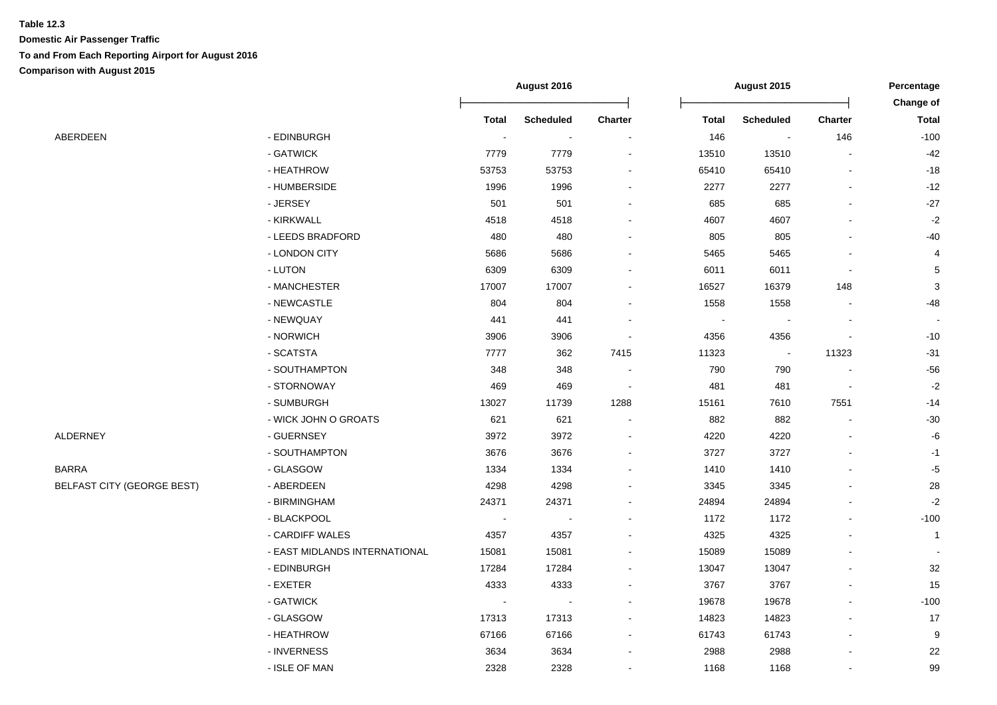|                                   |                               | August 2016  |                          |                          | August 2015              |                          |                          |                           |
|-----------------------------------|-------------------------------|--------------|--------------------------|--------------------------|--------------------------|--------------------------|--------------------------|---------------------------|
|                                   |                               | <b>Total</b> | <b>Scheduled</b>         | <b>Charter</b>           | <b>Total</b>             | <b>Scheduled</b>         | <b>Charter</b>           | Change of<br><b>Total</b> |
| ABERDEEN                          | - EDINBURGH                   | $\sim$       | $\sim$                   | $\sim$                   | 146                      | $\blacksquare$           | 146                      | $-100$                    |
|                                   | - GATWICK                     | 7779         | 7779                     | $\sim$                   | 13510                    | 13510                    | $\overline{\phantom{a}}$ | $-42$                     |
|                                   | - HEATHROW                    | 53753        | 53753                    | $\blacksquare$           | 65410                    | 65410                    |                          | $-18$                     |
|                                   | - HUMBERSIDE                  | 1996         | 1996                     |                          | 2277                     | 2277                     |                          | $-12$                     |
|                                   | - JERSEY                      | 501          | 501                      |                          | 685                      | 685                      |                          | $-27$                     |
|                                   | - KIRKWALL                    | 4518         | 4518                     |                          | 4607                     | 4607                     |                          | $-2$                      |
|                                   | - LEEDS BRADFORD              | 480          | 480                      |                          | 805                      | 805                      |                          | $-40$                     |
|                                   | - LONDON CITY                 | 5686         | 5686                     |                          | 5465                     | 5465                     |                          | $\overline{4}$            |
|                                   | - LUTON                       | 6309         | 6309                     |                          | 6011                     | 6011                     | $\blacksquare$           | $\mathbf 5$               |
|                                   | - MANCHESTER                  | 17007        | 17007                    | ۰                        | 16527                    | 16379                    | 148                      | $\mathsf 3$               |
|                                   | - NEWCASTLE                   | 804          | 804                      |                          | 1558                     | 1558                     | $\sim$                   | $-48$                     |
|                                   | - NEWQUAY                     | 441          | 441                      |                          | $\overline{\phantom{a}}$ | $\overline{\phantom{a}}$ | $\overline{\phantom{a}}$ |                           |
|                                   | - NORWICH                     | 3906         | 3906                     |                          | 4356                     | 4356                     |                          | $-10$                     |
|                                   | - SCATSTA                     | 7777         | 362                      | 7415                     | 11323                    | $\blacksquare$           | 11323                    | $-31$                     |
|                                   | - SOUTHAMPTON                 | 348          | 348                      |                          | 790                      | 790                      |                          | $-56$                     |
|                                   | - STORNOWAY                   | 469          | 469                      | $\overline{\phantom{a}}$ | 481                      | 481                      | $\overline{\phantom{a}}$ | $-2$                      |
|                                   | - SUMBURGH                    | 13027        | 11739                    | 1288                     | 15161                    | 7610                     | 7551                     | $-14$                     |
|                                   | - WICK JOHN O GROATS          | 621          | 621                      |                          | 882                      | 882                      |                          | $-30$                     |
| <b>ALDERNEY</b>                   | - GUERNSEY                    | 3972         | 3972                     |                          | 4220                     | 4220                     |                          | $\mbox{-}6$               |
|                                   | - SOUTHAMPTON                 | 3676         | 3676                     |                          | 3727                     | 3727                     |                          | $-1$                      |
| BARRA                             | - GLASGOW                     | 1334         | 1334                     |                          | 1410                     | 1410                     |                          | $-5$                      |
| <b>BELFAST CITY (GEORGE BEST)</b> | - ABERDEEN                    | 4298         | 4298                     |                          | 3345                     | 3345                     |                          | 28                        |
|                                   | - BIRMINGHAM                  | 24371        | 24371                    |                          | 24894                    | 24894                    |                          | $-2$                      |
|                                   | - BLACKPOOL                   | $\sim$       |                          |                          | 1172                     | 1172                     |                          | $-100$                    |
|                                   | - CARDIFF WALES               | 4357         | 4357                     |                          | 4325                     | 4325                     |                          | $\mathbf{1}$              |
|                                   | - EAST MIDLANDS INTERNATIONAL | 15081        | 15081                    | ۰                        | 15089                    | 15089                    |                          |                           |
|                                   | - EDINBURGH                   | 17284        | 17284                    | $\overline{\phantom{0}}$ | 13047                    | 13047                    |                          | $32\,$                    |
|                                   | - EXETER                      | 4333         | 4333                     | $\blacksquare$           | 3767                     | 3767                     |                          | 15                        |
|                                   | - GATWICK                     | $\sim$       | $\overline{\phantom{a}}$ | ۰                        | 19678                    | 19678                    |                          | $-100$                    |
|                                   | - GLASGOW                     | 17313        | 17313                    |                          | 14823                    | 14823                    |                          | 17                        |
|                                   | - HEATHROW                    | 67166        | 67166                    | $\blacksquare$           | 61743                    | 61743                    |                          | $\boldsymbol{9}$          |
|                                   | - INVERNESS                   | 3634         | 3634                     |                          | 2988                     | 2988                     |                          | 22                        |
|                                   | - ISLE OF MAN                 | 2328         | 2328                     |                          | 1168                     | 1168                     |                          | 99                        |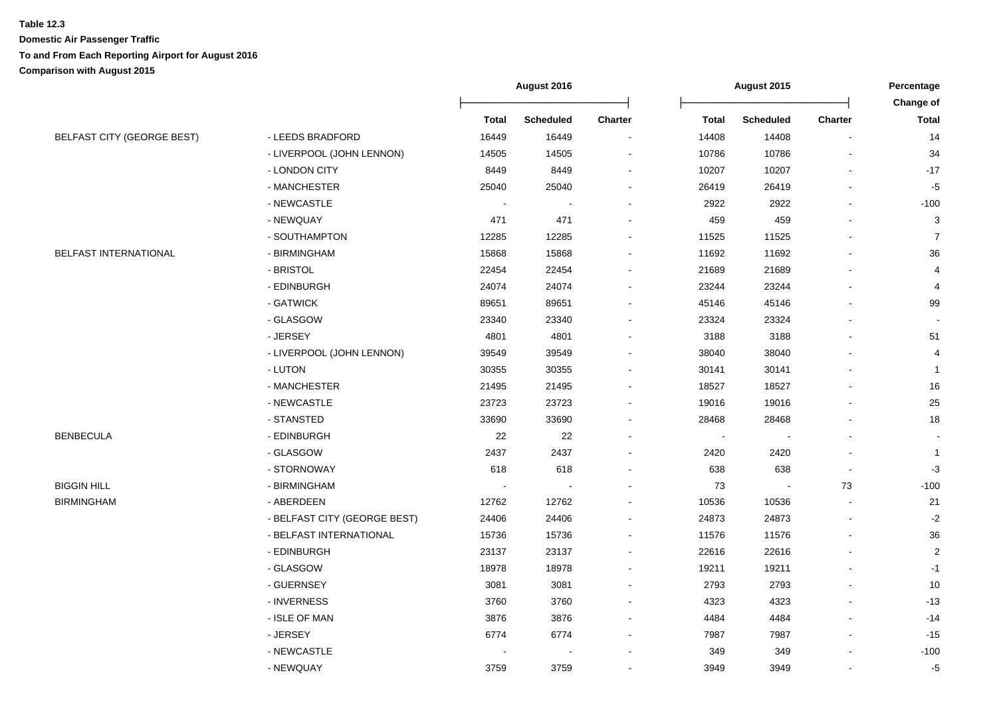|                                   |                              | August 2016  |                  |                | August 2015  |                  |                |                           |
|-----------------------------------|------------------------------|--------------|------------------|----------------|--------------|------------------|----------------|---------------------------|
|                                   |                              | <b>Total</b> | <b>Scheduled</b> | <b>Charter</b> | <b>Total</b> | <b>Scheduled</b> | <b>Charter</b> | Change of<br><b>Total</b> |
| <b>BELFAST CITY (GEORGE BEST)</b> | - LEEDS BRADFORD             | 16449        | 16449            |                | 14408        | 14408            |                | 14                        |
|                                   | - LIVERPOOL (JOHN LENNON)    | 14505        | 14505            |                | 10786        | 10786            |                | 34                        |
|                                   | - LONDON CITY                | 8449         | 8449             |                | 10207        | 10207            |                | $-17$                     |
|                                   | - MANCHESTER                 | 25040        | 25040            |                | 26419        | 26419            |                | $-5$                      |
|                                   | - NEWCASTLE                  |              |                  |                | 2922         | 2922             |                | $-100$                    |
|                                   | - NEWQUAY                    | 471          | 471              |                | 459          | 459              |                | 3                         |
|                                   | - SOUTHAMPTON                | 12285        | 12285            |                | 11525        | 11525            |                | $\overline{7}$            |
| BELFAST INTERNATIONAL             | - BIRMINGHAM                 | 15868        | 15868            |                | 11692        | 11692            |                | 36                        |
|                                   | - BRISTOL                    | 22454        | 22454            |                | 21689        | 21689            |                | $\overline{4}$            |
|                                   | - EDINBURGH                  | 24074        | 24074            |                | 23244        | 23244            |                | $\overline{4}$            |
|                                   | - GATWICK                    | 89651        | 89651            |                | 45146        | 45146            |                | 99                        |
|                                   | - GLASGOW                    | 23340        | 23340            |                | 23324        | 23324            |                |                           |
|                                   | - JERSEY                     | 4801         | 4801             |                | 3188         | 3188             |                | 51                        |
|                                   | - LIVERPOOL (JOHN LENNON)    | 39549        | 39549            |                | 38040        | 38040            |                | 4                         |
|                                   | - LUTON                      | 30355        | 30355            |                | 30141        | 30141            |                | $\mathbf{1}$              |
|                                   | - MANCHESTER                 | 21495        | 21495            |                | 18527        | 18527            |                | 16                        |
|                                   | - NEWCASTLE                  | 23723        | 23723            |                | 19016        | 19016            |                | 25                        |
|                                   | - STANSTED                   | 33690        | 33690            |                | 28468        | 28468            |                | 18                        |
| <b>BENBECULA</b>                  | - EDINBURGH                  | 22           | 22               |                |              |                  |                |                           |
|                                   | - GLASGOW                    | 2437         | 2437             |                | 2420         | 2420             |                | $\mathbf{1}$              |
|                                   | - STORNOWAY                  | 618          | 618              |                | 638          | 638              | $\blacksquare$ | $-3$                      |
| <b>BIGGIN HILL</b>                | - BIRMINGHAM                 |              |                  |                | 73           | $\blacksquare$   | 73             | $-100$                    |
| BIRMINGHAM                        | - ABERDEEN                   | 12762        | 12762            |                | 10536        | 10536            |                | 21                        |
|                                   | - BELFAST CITY (GEORGE BEST) | 24406        | 24406            |                | 24873        | 24873            |                | $-2$                      |
|                                   | - BELFAST INTERNATIONAL      | 15736        | 15736            |                | 11576        | 11576            |                | 36                        |
|                                   | - EDINBURGH                  | 23137        | 23137            |                | 22616        | 22616            |                | 2                         |
|                                   | - GLASGOW                    | 18978        | 18978            |                | 19211        | 19211            |                | $-1$                      |
|                                   | - GUERNSEY                   | 3081         | 3081             |                | 2793         | 2793             |                | 10                        |
|                                   | - INVERNESS                  | 3760         | 3760             |                | 4323         | 4323             |                | $-13$                     |
|                                   | - ISLE OF MAN                | 3876         | 3876             |                | 4484         | 4484             |                | $-14$                     |
|                                   | - JERSEY                     | 6774         | 6774             |                | 7987         | 7987             |                | $-15$                     |
|                                   | - NEWCASTLE                  |              |                  |                | 349          | 349              |                | $-100$                    |
|                                   | - NEWQUAY                    | 3759         | 3759             |                | 3949         | 3949             |                | $-5$                      |
|                                   |                              |              |                  |                |              |                  |                |                           |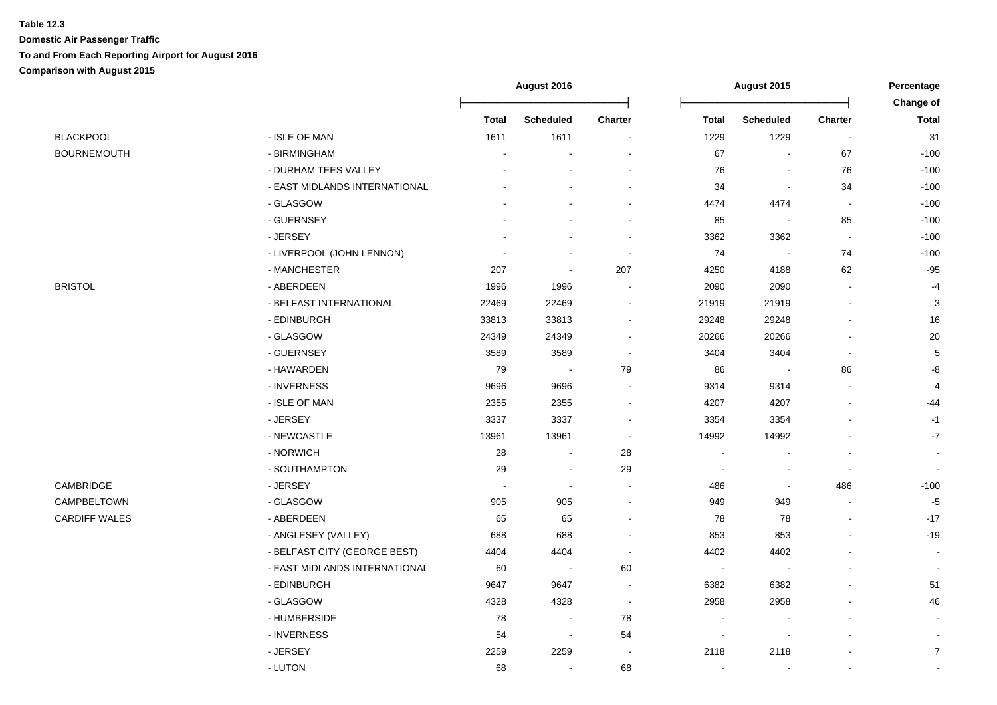|                    |                               | <b>August 2016</b> |                          |                          | August 2015              |                          |                          |                                  |
|--------------------|-------------------------------|--------------------|--------------------------|--------------------------|--------------------------|--------------------------|--------------------------|----------------------------------|
|                    |                               | <b>Total</b>       | <b>Scheduled</b>         | <b>Charter</b>           | <b>Total</b>             | <b>Scheduled</b>         | <b>Charter</b>           | <b>Change of</b><br><b>Total</b> |
| <b>BLACKPOOL</b>   | - ISLE OF MAN                 | 1611               | 1611                     | $\blacksquare$           | 1229                     | 1229                     | $\blacksquare$           | 31                               |
| <b>BOURNEMOUTH</b> | - BIRMINGHAM                  |                    |                          |                          | 67                       | $\blacksquare$           | 67                       | $-100$                           |
|                    | - DURHAM TEES VALLEY          |                    |                          |                          | 76                       | $\blacksquare$           | 76                       | $-100$                           |
|                    | - EAST MIDLANDS INTERNATIONAL |                    |                          |                          | 34                       | $\blacksquare$           | 34                       | $-100$                           |
|                    | - GLASGOW                     |                    |                          |                          | 4474                     | 4474                     | $\blacksquare$           | $-100$                           |
|                    | - GUERNSEY                    |                    |                          |                          | 85                       |                          | 85                       | $-100$                           |
|                    | - JERSEY                      |                    |                          | $\blacksquare$           | 3362                     | 3362                     | $\overline{\phantom{a}}$ | $-100$                           |
|                    | - LIVERPOOL (JOHN LENNON)     |                    |                          | $\blacksquare$           | 74                       | $\overline{\phantom{a}}$ | 74                       | $-100$                           |
|                    | - MANCHESTER                  | 207                | $\blacksquare$           | 207                      | 4250                     | 4188                     | 62                       | $-95$                            |
| <b>BRISTOL</b>     | - ABERDEEN                    | 1996               | 1996                     |                          | 2090                     | 2090                     |                          | $-4$                             |
|                    | - BELFAST INTERNATIONAL       | 22469              | 22469                    | $\blacksquare$           | 21919                    | 21919                    | $\blacksquare$           | 3                                |
|                    | - EDINBURGH                   | 33813              | 33813                    | $\overline{\phantom{a}}$ | 29248                    | 29248                    | $\blacksquare$           | 16                               |
|                    | - GLASGOW                     | 24349              | 24349                    | $\overline{\phantom{a}}$ | 20266                    | 20266                    | $\blacksquare$           | 20                               |
|                    | - GUERNSEY                    | 3589               | 3589                     | $\overline{\phantom{a}}$ | 3404                     | 3404                     | $\overline{\phantom{a}}$ | 5                                |
|                    | - HAWARDEN                    | 79                 | $\sim$                   | 79                       | 86                       | $\blacksquare$           | 86                       | -8                               |
|                    | - INVERNESS                   | 9696               | 9696                     |                          | 9314                     | 9314                     |                          | $\overline{a}$                   |
|                    | - ISLE OF MAN                 | 2355               | 2355                     |                          | 4207                     | 4207                     |                          | $-44$                            |
|                    | - JERSEY                      | 3337               | 3337                     |                          | 3354                     | 3354                     |                          | $-1$                             |
|                    | - NEWCASTLE                   | 13961              | 13961                    | $\blacksquare$           | 14992                    | 14992                    |                          | $-7$                             |
|                    | - NORWICH                     | 28                 | $\overline{a}$           | 28                       | $\overline{\phantom{a}}$ |                          |                          |                                  |
|                    | - SOUTHAMPTON                 | 29                 | $\overline{a}$           | 29                       | $\overline{\phantom{a}}$ |                          | $\sim$                   |                                  |
| CAMBRIDGE          | - JERSEY                      |                    | $\blacksquare$           | $\blacksquare$           | 486                      | $\blacksquare$           | 486                      | $-100$                           |
| CAMPBELTOWN        | - GLASGOW                     | 905                | 905                      | $\blacksquare$           | 949                      | 949                      | $\blacksquare$           | $-5$                             |
| CARDIFF WALES      | - ABERDEEN                    | 65                 | 65                       |                          | 78                       | 78                       |                          | $-17$                            |
|                    | - ANGLESEY (VALLEY)           | 688                | 688                      | $\blacksquare$           | 853                      | 853                      |                          | $-19$                            |
|                    | - BELFAST CITY (GEORGE BEST)  | 4404               | 4404                     | $\sim$                   | 4402                     | 4402                     |                          |                                  |
|                    | - EAST MIDLANDS INTERNATIONAL | 60                 | $\sim$                   | 60                       | $\overline{\phantom{a}}$ | $\blacksquare$           |                          |                                  |
|                    | - EDINBURGH                   | 9647               | 9647                     |                          | 6382                     | 6382                     |                          | 51                               |
|                    | - GLASGOW                     | 4328               | 4328                     | $\sim$                   | 2958                     | 2958                     |                          | 46                               |
|                    | - HUMBERSIDE                  | 78                 | $\overline{\phantom{a}}$ | 78                       |                          | $\overline{\phantom{a}}$ |                          |                                  |
|                    | - INVERNESS                   | 54                 | $\overline{\phantom{a}}$ | 54                       | $\overline{\phantom{a}}$ | $\overline{\phantom{a}}$ |                          |                                  |
|                    | - JERSEY                      | 2259               | 2259                     | $\overline{\phantom{a}}$ | 2118                     | 2118                     |                          | $\overline{7}$                   |
|                    | - LUTON                       | 68                 | $\overline{\phantom{a}}$ | 68                       |                          |                          |                          |                                  |
|                    |                               |                    |                          |                          |                          |                          |                          |                                  |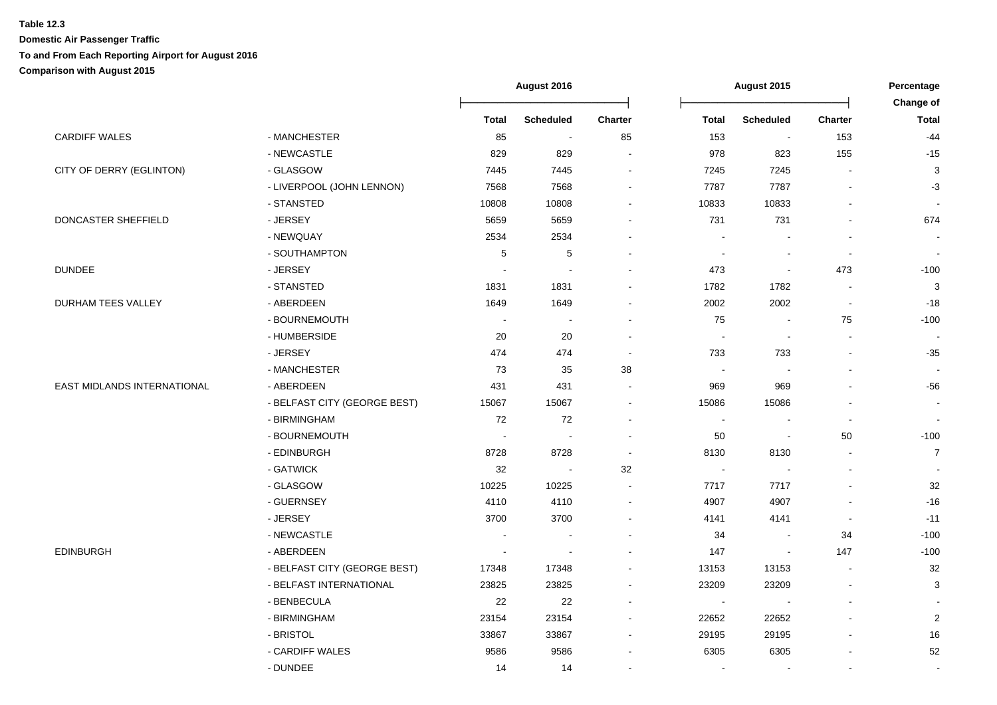|                             |                              | August 2016              |                  |         | August 2015              | Percentage               |                |                           |
|-----------------------------|------------------------------|--------------------------|------------------|---------|--------------------------|--------------------------|----------------|---------------------------|
|                             |                              | <b>Total</b>             | <b>Scheduled</b> | Charter | <b>Total</b>             | <b>Scheduled</b>         | Charter        | Change of<br><b>Total</b> |
| <b>CARDIFF WALES</b>        | - MANCHESTER                 | 85                       | $\blacksquare$   | 85      | 153                      | $\blacksquare$           | 153            | -44                       |
|                             | - NEWCASTLE                  | 829                      | 829              |         | 978                      | 823                      | 155            | $-15$                     |
| CITY OF DERRY (EGLINTON)    | - GLASGOW                    | 7445                     | 7445             |         | 7245                     | 7245                     |                | 3                         |
|                             | - LIVERPOOL (JOHN LENNON)    | 7568                     | 7568             |         | 7787                     | 7787                     |                | $-3$                      |
|                             | - STANSTED                   | 10808                    | 10808            |         | 10833                    | 10833                    |                |                           |
| DONCASTER SHEFFIELD         | - JERSEY                     | 5659                     | 5659             |         | 731                      | 731                      |                | 674                       |
|                             | - NEWQUAY                    | 2534                     | 2534             |         | $\blacksquare$           |                          |                |                           |
|                             | - SOUTHAMPTON                | 5                        | 5                |         | $\overline{\phantom{a}}$ |                          | $\blacksquare$ |                           |
| DUNDEE                      | - JERSEY                     |                          |                  |         | 473                      | $\blacksquare$           | 473            | $-100$                    |
|                             | - STANSTED                   | 1831                     | 1831             |         | 1782                     | 1782                     |                | 3                         |
| DURHAM TEES VALLEY          | - ABERDEEN                   | 1649                     | 1649             |         | 2002                     | 2002                     | $\sim$         | $-18$                     |
|                             | - BOURNEMOUTH                | $\overline{\phantom{a}}$ | $\sim$           |         | 75                       | $\overline{\phantom{a}}$ | 75             | $-100$                    |
|                             | - HUMBERSIDE                 | 20                       | $20\,$           |         | $\overline{\phantom{a}}$ | $\overline{\phantom{a}}$ | $\blacksquare$ | $\blacksquare$            |
|                             | - JERSEY                     | 474                      | 474              |         | 733                      | 733                      |                | $-35$                     |
|                             | - MANCHESTER                 | 73                       | 35               | 38      | $\overline{\phantom{a}}$ |                          |                |                           |
| EAST MIDLANDS INTERNATIONAL | - ABERDEEN                   | 431                      | 431              |         | 969                      | 969                      |                | $-56$                     |
|                             | - BELFAST CITY (GEORGE BEST) | 15067                    | 15067            |         | 15086                    | 15086                    |                |                           |
|                             | - BIRMINGHAM                 | 72                       | 72               |         | $\overline{\phantom{a}}$ |                          |                |                           |
|                             | - BOURNEMOUTH                | $\sim$                   |                  |         | 50                       | $\blacksquare$           | 50             | $-100$                    |
|                             | - EDINBURGH                  | 8728                     | 8728             |         | 8130                     | 8130                     | $\blacksquare$ | $\overline{7}$            |
|                             | - GATWICK                    | $32\,$                   | $\sim$           | 32      | $\overline{\phantom{a}}$ | $\overline{\phantom{a}}$ |                |                           |
|                             | - GLASGOW                    | 10225                    | 10225            |         | 7717                     | 7717                     |                | 32                        |
|                             | - GUERNSEY                   | 4110                     | 4110             |         | 4907                     | 4907                     |                | $-16$                     |
|                             | - JERSEY                     | 3700                     | 3700             |         | 4141                     | 4141                     |                | $-11$                     |
|                             | - NEWCASTLE                  | $\sim$                   | $\blacksquare$   |         | 34                       | $\sim$                   | 34             | $-100$                    |
| EDINBURGH                   | - ABERDEEN                   | $\overline{\phantom{a}}$ |                  |         | 147                      | $\blacksquare$           | 147            | $-100$                    |
|                             | - BELFAST CITY (GEORGE BEST) | 17348                    | 17348            |         | 13153                    | 13153                    |                | 32                        |
|                             | - BELFAST INTERNATIONAL      | 23825                    | 23825            |         | 23209                    | 23209                    |                | 3                         |
|                             | - BENBECULA                  | 22                       | 22               |         | $\overline{\phantom{a}}$ |                          |                |                           |
|                             | - BIRMINGHAM                 | 23154                    | 23154            |         | 22652                    | 22652                    |                | $\overline{2}$            |
|                             | - BRISTOL                    | 33867                    | 33867            |         | 29195                    | 29195                    |                | 16                        |
|                             | - CARDIFF WALES              | 9586                     | 9586             |         | 6305                     | 6305                     |                | 52                        |
|                             | - DUNDEE                     | 14                       | 14               |         |                          |                          |                |                           |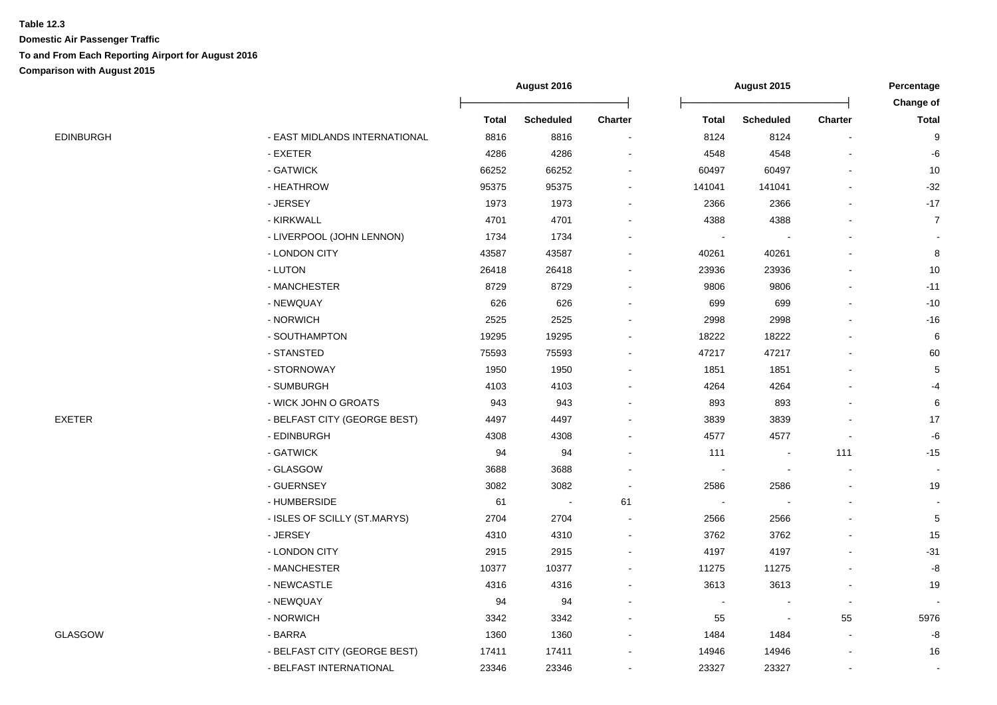|               |                               | August 2016  |                          |                          | August 2015  | Percentage<br>Change of |                          |                |
|---------------|-------------------------------|--------------|--------------------------|--------------------------|--------------|-------------------------|--------------------------|----------------|
|               |                               | <b>Total</b> | <b>Scheduled</b>         | <b>Charter</b>           | <b>Total</b> | <b>Scheduled</b>        | <b>Charter</b>           | <b>Total</b>   |
| EDINBURGH     | - EAST MIDLANDS INTERNATIONAL | 8816         | 8816                     | $\overline{\phantom{a}}$ | 8124         | 8124                    |                          | 9              |
|               | - EXETER                      | 4286         | 4286                     |                          | 4548         | 4548                    |                          | -6             |
|               | - GATWICK                     | 66252        | 66252                    | $\overline{a}$           | 60497        | 60497                   |                          | $10$           |
|               | - HEATHROW                    | 95375        | 95375                    |                          | 141041       | 141041                  |                          | $-32$          |
|               | - JERSEY                      | 1973         | 1973                     |                          | 2366         | 2366                    |                          | $-17$          |
|               | - KIRKWALL                    | 4701         | 4701                     |                          | 4388         | 4388                    |                          | $\overline{7}$ |
|               | - LIVERPOOL (JOHN LENNON)     | 1734         | 1734                     |                          |              |                         |                          |                |
|               | - LONDON CITY                 | 43587        | 43587                    | $\overline{\phantom{a}}$ | 40261        | 40261                   |                          | 8              |
|               | - LUTON                       | 26418        | 26418                    | $\overline{\phantom{a}}$ | 23936        | 23936                   |                          | 10             |
|               | - MANCHESTER                  | 8729         | 8729                     |                          | 9806         | 9806                    |                          | $-11$          |
|               | - NEWQUAY                     | 626          | 626                      |                          | 699          | 699                     |                          | $-10$          |
|               | - NORWICH                     | 2525         | 2525                     | $\blacksquare$           | 2998         | 2998                    |                          | $-16$          |
|               | - SOUTHAMPTON                 | 19295        | 19295                    |                          | 18222        | 18222                   |                          | 6              |
|               | - STANSTED                    | 75593        | 75593                    |                          | 47217        | 47217                   |                          | 60             |
|               | - STORNOWAY                   | 1950         | 1950                     |                          | 1851         | 1851                    |                          | $\,$ 5 $\,$    |
|               | - SUMBURGH                    | 4103         | 4103                     |                          | 4264         | 4264                    |                          | -4             |
|               | - WICK JOHN O GROATS          | 943          | 943                      |                          | 893          | 893                     |                          | $\,6\,$        |
| <b>EXETER</b> | - BELFAST CITY (GEORGE BEST)  | 4497         | 4497                     |                          | 3839         | 3839                    |                          | 17             |
|               | - EDINBURGH                   | 4308         | 4308                     |                          | 4577         | 4577                    |                          | -6             |
|               | - GATWICK                     | 94           | 94                       |                          | 111          | $\blacksquare$          | 111                      | $-15$          |
|               | - GLASGOW                     | 3688         | 3688                     |                          |              | $\blacksquare$          | $\blacksquare$           |                |
|               | - GUERNSEY                    | 3082         | 3082                     | $\sim$                   | 2586         | 2586                    | $\mathbf{r}$             | 19             |
|               | - HUMBERSIDE                  | 61           | $\overline{\phantom{a}}$ | 61                       |              |                         |                          |                |
|               | - ISLES OF SCILLY (ST.MARYS)  | 2704         | 2704                     |                          | 2566         | 2566                    |                          | $\,$ 5 $\,$    |
|               | - JERSEY                      | 4310         | 4310                     |                          | 3762         | 3762                    |                          | 15             |
|               | - LONDON CITY                 | 2915         | 2915                     |                          | 4197         | 4197                    |                          | $-31$          |
|               | - MANCHESTER                  | 10377        | 10377                    | $\blacksquare$           | 11275        | 11275                   |                          | -8             |
|               | - NEWCASTLE                   | 4316         | 4316                     | $\blacksquare$           | 3613         | 3613                    |                          | 19             |
|               | - NEWQUAY                     | 94           | 94                       |                          |              |                         |                          |                |
|               | - NORWICH                     | 3342         | 3342                     |                          | 55           | $\blacksquare$          | 55                       | 5976           |
| GLASGOW       | - BARRA                       | 1360         | 1360                     | $\blacksquare$           | 1484         | 1484                    | $\overline{a}$           | -8             |
|               | - BELFAST CITY (GEORGE BEST)  | 17411        | 17411                    |                          | 14946        | 14946                   |                          | 16             |
|               | - BELFAST INTERNATIONAL       | 23346        | 23346                    | ٠                        | 23327        | 23327                   | $\overline{\phantom{a}}$ | $\sim$         |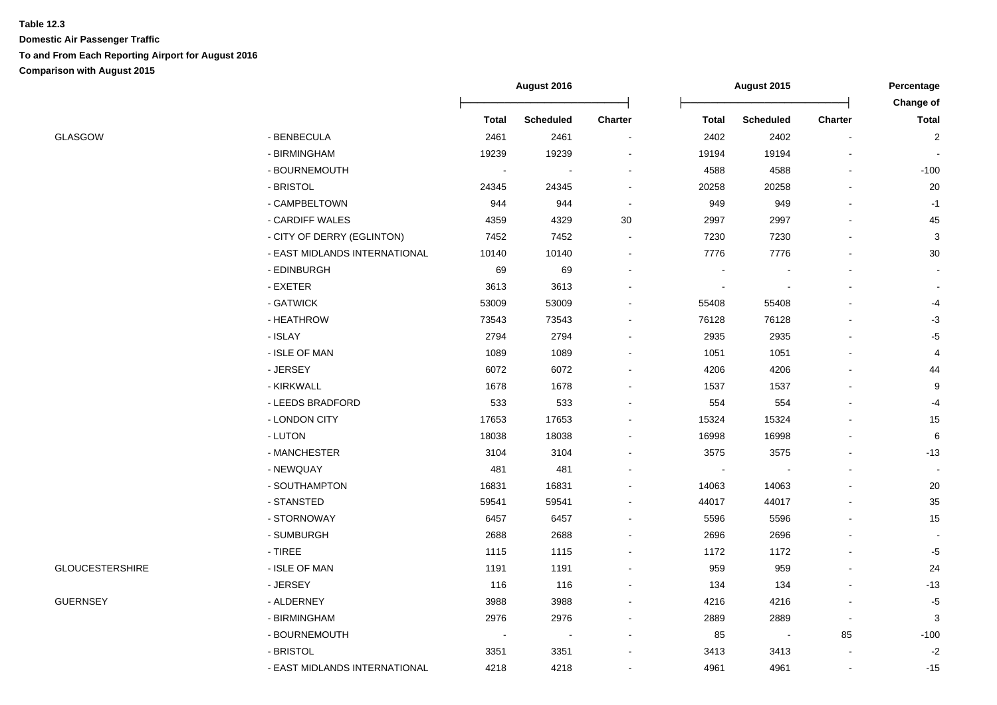|                        |                               | August 2016  |                  | August 2015    |              |                  | Percentage<br>Change of |                           |
|------------------------|-------------------------------|--------------|------------------|----------------|--------------|------------------|-------------------------|---------------------------|
|                        |                               | <b>Total</b> | <b>Scheduled</b> | Charter        | <b>Total</b> | <b>Scheduled</b> | Charter                 | <b>Total</b>              |
| GLASGOW                | - BENBECULA                   | 2461         | 2461             | $\sim$         | 2402         | 2402             |                         | $\overline{\mathbf{c}}$   |
|                        | - BIRMINGHAM                  | 19239        | 19239            |                | 19194        | 19194            |                         |                           |
|                        | - BOURNEMOUTH                 |              |                  |                | 4588         | 4588             |                         | $-100$                    |
|                        | - BRISTOL                     | 24345        | 24345            |                | 20258        | 20258            |                         | 20                        |
|                        | - CAMPBELTOWN                 | 944          | 944              |                | 949          | 949              |                         | $-1$                      |
|                        | - CARDIFF WALES               | 4359         | 4329             | 30             | 2997         | 2997             |                         | 45                        |
|                        | - CITY OF DERRY (EGLINTON)    | 7452         | 7452             |                | 7230         | 7230             |                         | $\ensuremath{\mathsf{3}}$ |
|                        | - EAST MIDLANDS INTERNATIONAL | 10140        | 10140            | $\blacksquare$ | 7776         | 7776             |                         | 30                        |
|                        | - EDINBURGH                   | 69           | 69               |                |              |                  |                         |                           |
|                        | - EXETER                      | 3613         | 3613             |                |              |                  |                         |                           |
|                        | - GATWICK                     | 53009        | 53009            |                | 55408        | 55408            |                         | -4                        |
|                        | - HEATHROW                    | 73543        | 73543            |                | 76128        | 76128            |                         | $-3$                      |
|                        | - ISLAY                       | 2794         | 2794             |                | 2935         | 2935             |                         | $-5$                      |
|                        | - ISLE OF MAN                 | 1089         | 1089             |                | 1051         | 1051             |                         | $\overline{4}$            |
|                        | - JERSEY                      | 6072         | 6072             |                | 4206         | 4206             |                         | 44                        |
|                        | - KIRKWALL                    | 1678         | 1678             |                | 1537         | 1537             |                         | 9                         |
|                        | - LEEDS BRADFORD              | 533          | 533              |                | 554          | 554              |                         | -4                        |
|                        | - LONDON CITY                 | 17653        | 17653            |                | 15324        | 15324            |                         | 15                        |
|                        | - LUTON                       | 18038        | 18038            |                | 16998        | 16998            |                         | 6                         |
|                        | - MANCHESTER                  | 3104         | 3104             |                | 3575         | 3575             |                         | $-13$                     |
|                        | - NEWQUAY                     | 481          | 481              |                |              |                  |                         |                           |
|                        | - SOUTHAMPTON                 | 16831        | 16831            |                | 14063        | 14063            |                         | 20                        |
|                        | - STANSTED                    | 59541        | 59541            |                | 44017        | 44017            |                         | 35                        |
|                        | - STORNOWAY                   | 6457         | 6457             |                | 5596         | 5596             |                         | 15                        |
|                        | - SUMBURGH                    | 2688         | 2688             |                | 2696         | 2696             |                         |                           |
|                        | $-$ TIREE                     | 1115         | 1115             |                | 1172         | 1172             |                         | $-5$                      |
| <b>GLOUCESTERSHIRE</b> | - ISLE OF MAN                 | 1191         | 1191             |                | 959          | 959              |                         | 24                        |
|                        | - JERSEY                      | 116          | 116              |                | 134          | 134              |                         | $-13$                     |
| GUERNSEY               | - ALDERNEY                    | 3988         | 3988             |                | 4216         | 4216             |                         | $-5$                      |
|                        | - BIRMINGHAM                  | 2976         | 2976             |                | 2889         | 2889             |                         | 3                         |
|                        | - BOURNEMOUTH                 |              |                  |                | 85           |                  | 85                      | $-100$                    |
|                        | - BRISTOL                     | 3351         | 3351             |                | 3413         | 3413             |                         | $-2$                      |
|                        | - EAST MIDLANDS INTERNATIONAL | 4218         | 4218             |                | 4961         | 4961             |                         | $-15$                     |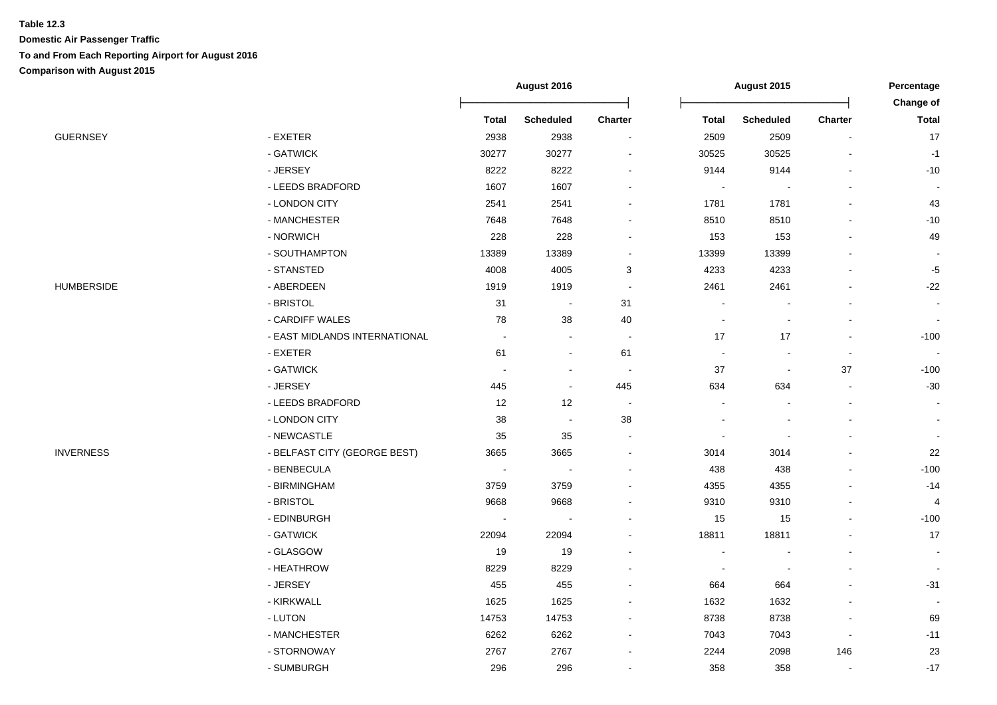|                   |                               | August 2016              |                  |                | August 2015              | Percentage       |                          |                           |
|-------------------|-------------------------------|--------------------------|------------------|----------------|--------------------------|------------------|--------------------------|---------------------------|
|                   |                               | <b>Total</b>             | <b>Scheduled</b> | <b>Charter</b> | <b>Total</b>             | <b>Scheduled</b> | Charter                  | Change of<br><b>Total</b> |
| <b>GUERNSEY</b>   | $-$ EXETER                    | 2938                     | 2938             |                | 2509                     | 2509             | $\blacksquare$           | 17                        |
|                   | - GATWICK                     | 30277                    | 30277            |                | 30525                    | 30525            |                          | $-1$                      |
|                   | - JERSEY                      | 8222                     | 8222             |                | 9144                     | 9144             |                          | $-10$                     |
|                   | - LEEDS BRADFORD              | 1607                     | 1607             |                | $\overline{\phantom{a}}$ |                  |                          |                           |
|                   | - LONDON CITY                 | 2541                     | 2541             |                | 1781                     | 1781             |                          | 43                        |
|                   | - MANCHESTER                  | 7648                     | 7648             |                | 8510                     | 8510             |                          | $-10$                     |
|                   | - NORWICH                     | 228                      | 228              |                | 153                      | 153              |                          | 49                        |
|                   | - SOUTHAMPTON                 | 13389                    | 13389            | $\sim$         | 13399                    | 13399            |                          |                           |
|                   | - STANSTED                    | 4008                     | 4005             | 3              | 4233                     | 4233             |                          | $-5$                      |
| <b>HUMBERSIDE</b> | - ABERDEEN                    | 1919                     | 1919             | $\sim$         | 2461                     | 2461             |                          | $-22$                     |
|                   | - BRISTOL                     | 31                       | $\sim$           | 31             | $\overline{\phantom{a}}$ |                  |                          |                           |
|                   | - CARDIFF WALES               | ${\bf 78}$               | $38\,$           | $40\,$         | $\blacksquare$           | $\blacksquare$   | $\overline{\phantom{a}}$ | $\sim$                    |
|                   | - EAST MIDLANDS INTERNATIONAL | $\sim$                   | $\sim$           | $\sim$         | 17                       | 17               | $\blacksquare$           | $-100$                    |
|                   | - EXETER                      | 61                       | $\blacksquare$   | 61             | $\blacksquare$           | $\blacksquare$   | $\blacksquare$           |                           |
|                   | - GATWICK                     | $\overline{\phantom{a}}$ | $\sim$           | $\sim$         | 37                       | $\blacksquare$   | 37                       | $-100$                    |
|                   | - JERSEY                      | 445                      | $\blacksquare$   | 445            | 634                      | 634              | $\blacksquare$           | $-30$                     |
|                   | - LEEDS BRADFORD              | 12                       | 12               |                | $\blacksquare$           |                  |                          |                           |
|                   | - LONDON CITY                 | $38\,$                   | $\sim$           | 38             |                          |                  |                          |                           |
|                   | - NEWCASTLE                   | 35                       | 35               |                | $\sim$                   |                  |                          |                           |
| <b>INVERNESS</b>  | - BELFAST CITY (GEORGE BEST)  | 3665                     | 3665             |                | 3014                     | 3014             |                          | 22                        |
|                   | - BENBECULA                   | $\overline{\phantom{a}}$ |                  |                | 438                      | 438              |                          | $-100$                    |
|                   | - BIRMINGHAM                  | 3759                     | 3759             |                | 4355                     | 4355             |                          | $-14$                     |
|                   | - BRISTOL                     | 9668                     | 9668             |                | 9310                     | 9310             |                          | 4                         |
|                   | - EDINBURGH                   |                          |                  |                | 15                       | 15               |                          | $-100$                    |
|                   | - GATWICK                     | 22094                    | 22094            |                | 18811                    | 18811            |                          | 17                        |
|                   | - GLASGOW                     | 19                       | 19               |                | $\overline{\phantom{a}}$ |                  |                          |                           |
|                   | - HEATHROW                    | 8229                     | 8229             |                | $\blacksquare$           |                  |                          | $\sim$                    |
|                   | - JERSEY                      | 455                      | 455              |                | 664                      | 664              |                          | $-31$                     |
|                   | - KIRKWALL                    | 1625                     | 1625             |                | 1632                     | 1632             |                          |                           |
|                   | $-LUTON$                      | 14753                    | 14753            |                | 8738                     | 8738             |                          | 69                        |
|                   | - MANCHESTER                  | 6262                     | 6262             |                | 7043                     | 7043             |                          | $-11$                     |
|                   | - STORNOWAY                   | 2767                     | 2767             |                | 2244                     | 2098             | 146                      | 23                        |
|                   | - SUMBURGH                    | 296                      | 296              |                | 358                      | 358              |                          | $-17$                     |
|                   |                               |                          |                  |                |                          |                  |                          |                           |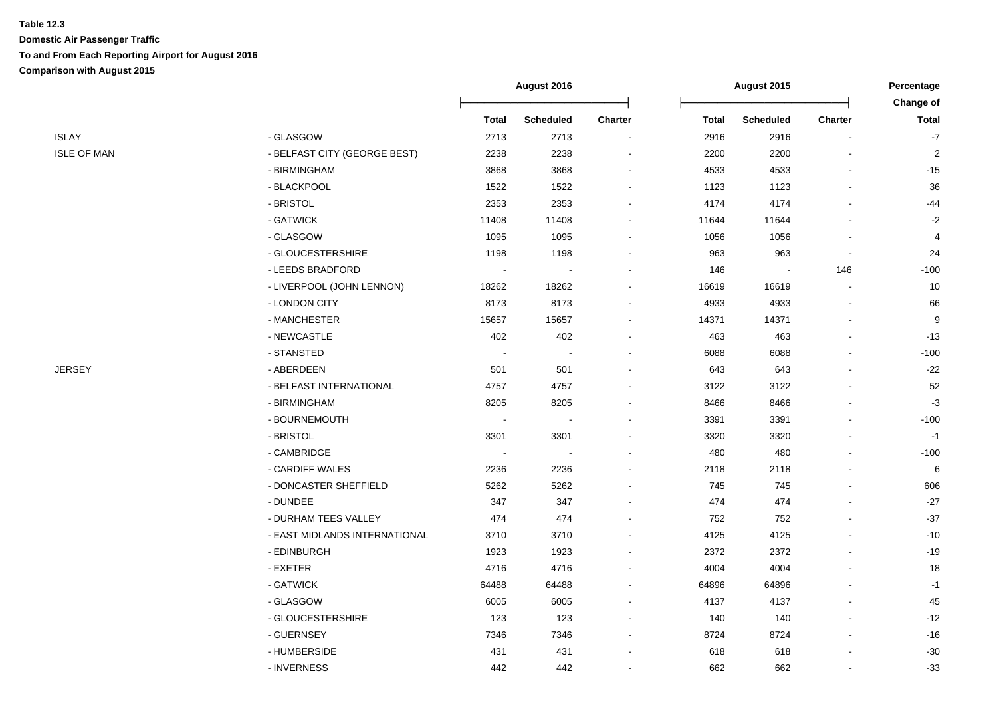|                    |                               | August 2016              |                          |                      | August 2015  |                  |                          |                           |
|--------------------|-------------------------------|--------------------------|--------------------------|----------------------|--------------|------------------|--------------------------|---------------------------|
|                    |                               | <b>Total</b>             | <b>Scheduled</b>         | Charter              | <b>Total</b> | <b>Scheduled</b> | <b>Charter</b>           | Change of<br><b>Total</b> |
| <b>ISLAY</b>       | - GLASGOW                     | 2713                     | 2713                     | $\ddot{\phantom{a}}$ | 2916         | 2916             |                          | $-7$                      |
| <b>ISLE OF MAN</b> | - BELFAST CITY (GEORGE BEST)  | 2238                     | 2238                     |                      | 2200         | 2200             |                          | $\overline{2}$            |
|                    | - BIRMINGHAM                  | 3868                     | 3868                     |                      | 4533         | 4533             |                          | $-15$                     |
|                    | - BLACKPOOL                   | 1522                     | 1522                     |                      | 1123         | 1123             |                          | 36                        |
|                    | - BRISTOL                     | 2353                     | 2353                     |                      | 4174         | 4174             |                          | $-44$                     |
|                    | - GATWICK                     | 11408                    | 11408                    |                      | 11644        | 11644            |                          | $-2$                      |
|                    | - GLASGOW                     | 1095                     | 1095                     |                      | 1056         | 1056             |                          | $\overline{4}$            |
|                    | - GLOUCESTERSHIRE             | 1198                     | 1198                     |                      | 963          | 963              | $\blacksquare$           | 24                        |
|                    | - LEEDS BRADFORD              | $\blacksquare$           | $\sim$                   |                      | 146          |                  | 146                      | $-100$                    |
|                    | - LIVERPOOL (JOHN LENNON)     | 18262                    | 18262                    |                      | 16619        | 16619            | $\overline{\phantom{a}}$ | 10                        |
|                    | - LONDON CITY                 | 8173                     | 8173                     |                      | 4933         | 4933             | $\overline{a}$           | 66                        |
|                    | - MANCHESTER                  | 15657                    | 15657                    |                      | 14371        | 14371            |                          | 9                         |
|                    | - NEWCASTLE                   | 402                      | 402                      |                      | 463          | 463              |                          | $-13$                     |
|                    | - STANSTED                    | $\overline{\phantom{a}}$ |                          |                      | 6088         | 6088             |                          | $-100$                    |
| JERSEY             | - ABERDEEN                    | 501                      | 501                      |                      | 643          | 643              |                          | $-22$                     |
|                    | - BELFAST INTERNATIONAL       | 4757                     | 4757                     |                      | 3122         | 3122             |                          | 52                        |
|                    | - BIRMINGHAM                  | 8205                     | 8205                     |                      | 8466         | 8466             |                          | $-3$                      |
|                    | - BOURNEMOUTH                 | $\overline{\phantom{a}}$ | $\overline{\phantom{a}}$ |                      | 3391         | 3391             |                          | $-100$                    |
|                    | - BRISTOL                     | 3301                     | 3301                     |                      | 3320         | 3320             |                          | $-1$                      |
|                    | - CAMBRIDGE                   | $\blacksquare$           | $\blacksquare$           |                      | 480          | 480              | $\overline{a}$           | $-100$                    |
|                    | - CARDIFF WALES               | 2236                     | 2236                     |                      | 2118         | 2118             |                          | 6                         |
|                    | - DONCASTER SHEFFIELD         | 5262                     | 5262                     |                      | 745          | 745              |                          | 606                       |
|                    | - DUNDEE                      | 347                      | 347                      |                      | 474          | 474              |                          | $-27$                     |
|                    | - DURHAM TEES VALLEY          | 474                      | 474                      |                      | 752          | 752              |                          | $-37$                     |
|                    | - EAST MIDLANDS INTERNATIONAL | 3710                     | 3710                     |                      | 4125         | 4125             |                          | $-10$                     |
|                    | - EDINBURGH                   | 1923                     | 1923                     |                      | 2372         | 2372             |                          | $-19$                     |
|                    | - EXETER                      | 4716                     | 4716                     |                      | 4004         | 4004             |                          | 18                        |
|                    | - GATWICK                     | 64488                    | 64488                    |                      | 64896        | 64896            |                          | $-1$                      |
|                    | - GLASGOW                     | 6005                     | 6005                     | $\blacksquare$       | 4137         | 4137             | $\overline{a}$           | 45                        |
|                    | - GLOUCESTERSHIRE             | 123                      | 123                      | $\sim$               | 140          | 140              | L.                       | $-12$                     |
|                    | - GUERNSEY                    | 7346                     | 7346                     |                      | 8724         | 8724             | $\blacksquare$           | $-16$                     |
|                    | - HUMBERSIDE                  | 431                      | 431                      |                      | 618          | 618              |                          | $-30$                     |
|                    | - INVERNESS                   | 442                      | 442                      |                      | 662          | 662              |                          | $-33$                     |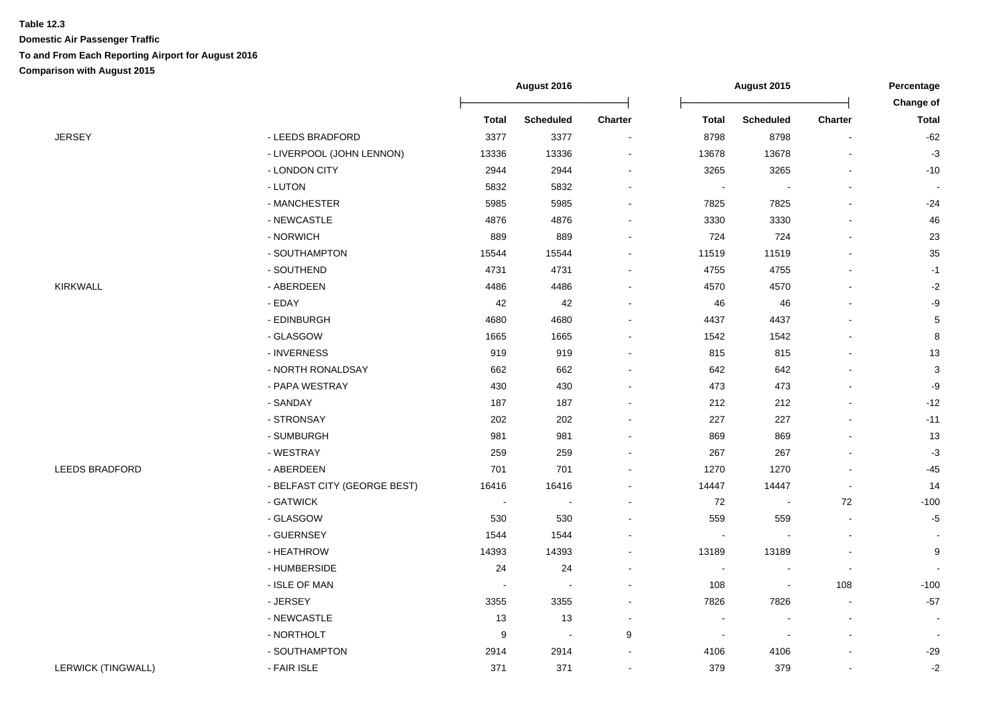|                           |                              | August 2016    |                  |                | August 2015              | Percentage       |                          |                   |
|---------------------------|------------------------------|----------------|------------------|----------------|--------------------------|------------------|--------------------------|-------------------|
|                           |                              |                |                  |                |                          |                  |                          | Change of         |
|                           |                              | <b>Total</b>   | <b>Scheduled</b> | Charter        | <b>Total</b>             | <b>Scheduled</b> | <b>Charter</b>           | <b>Total</b>      |
| <b>JERSEY</b>             | - LEEDS BRADFORD             | 3377           | 3377             | $\blacksquare$ | 8798                     | 8798             | $\overline{\phantom{a}}$ | $-62$             |
|                           | - LIVERPOOL (JOHN LENNON)    | 13336          | 13336            |                | 13678                    | 13678            |                          | $-3$              |
|                           | - LONDON CITY                | 2944           | 2944             |                | 3265                     | 3265             |                          | $-10$             |
|                           | - LUTON                      | 5832           | 5832             |                | $\blacksquare$           | . —              |                          |                   |
|                           | - MANCHESTER                 | 5985           | 5985             |                | 7825                     | 7825             |                          | $-24$             |
|                           | - NEWCASTLE                  | 4876           | 4876             |                | 3330                     | 3330             |                          | 46                |
|                           | - NORWICH                    | 889            | 889              |                | 724                      | 724              |                          | 23                |
|                           | - SOUTHAMPTON                | 15544          | 15544            |                | 11519                    | 11519            |                          | 35                |
|                           | - SOUTHEND                   | 4731           | 4731             | $\blacksquare$ | 4755                     | 4755             |                          | $-1$              |
| <b>KIRKWALL</b>           | - ABERDEEN                   | 4486           | 4486             | $\blacksquare$ | 4570                     | 4570             |                          | $-2$              |
|                           | - EDAY                       | 42             | 42               | $\overline{a}$ | 46                       | 46               | $\sim$                   | $\textnormal{-}9$ |
|                           | - EDINBURGH                  | 4680           | 4680             | $\overline{a}$ | 4437                     | 4437             |                          | $\,$ 5 $\,$       |
|                           | - GLASGOW                    | 1665           | 1665             | $\overline{a}$ | 1542                     | 1542             |                          | 8                 |
|                           | - INVERNESS                  | 919            | 919              |                | 815                      | 815              |                          | 13                |
|                           | - NORTH RONALDSAY            | 662            | 662              |                | 642                      | 642              |                          | $\mathbf{3}$      |
|                           | - PAPA WESTRAY               | 430            | 430              |                | 473                      | 473              |                          | $-9$              |
|                           | - SANDAY                     | 187            | 187              |                | 212                      | 212              |                          | $-12$             |
|                           | - STRONSAY                   | 202            | 202              |                | 227                      | 227              | $\overline{a}$           | $-11$             |
|                           | - SUMBURGH                   | 981            | 981              |                | 869                      | 869              | $\blacksquare$           | 13                |
|                           | - WESTRAY                    | 259            | 259              |                | 267                      | 267              |                          | $-3$              |
| LEEDS BRADFORD            | - ABERDEEN                   | 701            | 701              |                | 1270                     | 1270             |                          | $-45$             |
|                           | - BELFAST CITY (GEORGE BEST) | 16416          | 16416            |                | 14447                    | 14447            | $\blacksquare$           | 14                |
|                           | - GATWICK                    | $\blacksquare$ | $\blacksquare$   |                | 72                       | $\blacksquare$   | $72\,$                   | $-100$            |
|                           | - GLASGOW                    | 530            | 530              | $\blacksquare$ | 559                      | 559              | $\sim$                   | $-5$              |
|                           | - GUERNSEY                   | 1544           | 1544             |                | $\overline{\phantom{a}}$ | $\sim$           | $\sim$                   |                   |
|                           | - HEATHROW                   | 14393          | 14393            |                | 13189                    | 13189            | $\sim$                   | 9                 |
|                           | - HUMBERSIDE                 | 24             | 24               |                |                          |                  |                          |                   |
|                           | - ISLE OF MAN                |                |                  |                | 108                      | $\blacksquare$   | 108                      | $-100$            |
|                           | - JERSEY                     | 3355           | 3355             |                | 7826                     | 7826             | $\sim$                   | $-57$             |
|                           | - NEWCASTLE                  | 13             | 13               | $\blacksquare$ |                          | ÷,               | $\overline{\phantom{a}}$ | $\blacksquare$    |
|                           | - NORTHOLT                   | 9              | $\blacksquare$   | 9              | $\overline{\phantom{a}}$ | $\blacksquare$   | $\sim$                   | $\blacksquare$    |
|                           | - SOUTHAMPTON                | 2914           | 2914             |                | 4106                     | 4106             |                          | $-29$             |
| <b>LERWICK (TINGWALL)</b> | - FAIR ISLE                  | 371            | 371              | $\sim$         | 379                      | 379              | $\overline{\phantom{a}}$ | $-2$              |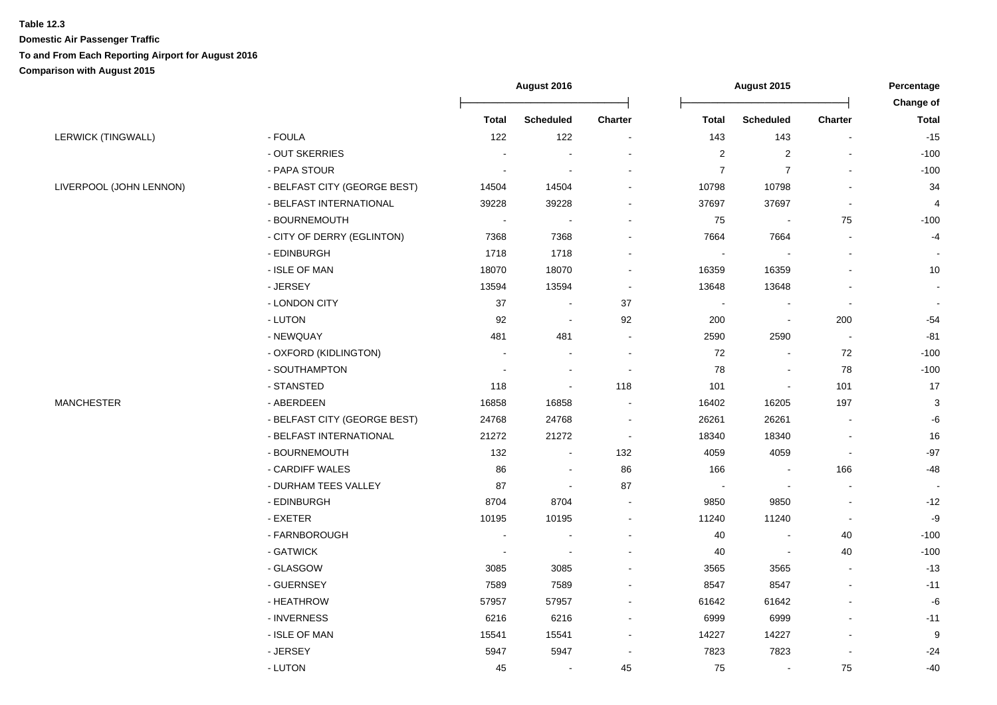|                         |                              | August 2016              |                  |                | August 2015              |                          |                          |                           |
|-------------------------|------------------------------|--------------------------|------------------|----------------|--------------------------|--------------------------|--------------------------|---------------------------|
|                         |                              | <b>Total</b>             | <b>Scheduled</b> | <b>Charter</b> | <b>Total</b>             | <b>Scheduled</b>         | Charter                  | Change of<br><b>Total</b> |
| LERWICK (TINGWALL)      | - FOULA                      | 122                      | 122              |                | 143                      | 143                      | $\blacksquare$           | $-15$                     |
|                         | - OUT SKERRIES               | $\sim$                   | $\sim$           |                | $\boldsymbol{2}$         | $\overline{c}$           | $\blacksquare$           | $-100$                    |
|                         | - PAPA STOUR                 | $\sim$                   |                  |                | $\overline{7}$           | $\overline{7}$           | $\blacksquare$           | $-100$                    |
| LIVERPOOL (JOHN LENNON) | - BELFAST CITY (GEORGE BEST) | 14504                    | 14504            |                | 10798                    | 10798                    |                          | 34                        |
|                         | - BELFAST INTERNATIONAL      | 39228                    | 39228            |                | 37697                    | 37697                    |                          | $\overline{4}$            |
|                         | - BOURNEMOUTH                | $\overline{\phantom{a}}$ |                  |                | 75                       | $\blacksquare$           | 75                       | $-100$                    |
|                         | - CITY OF DERRY (EGLINTON)   | 7368                     | 7368             |                | 7664                     | 7664                     | $\blacksquare$           | $-4$                      |
|                         | - EDINBURGH                  | 1718                     | 1718             |                | $\overline{\phantom{a}}$ |                          | $\blacksquare$           |                           |
|                         | - ISLE OF MAN                | 18070                    | 18070            | $\sim$         | 16359                    | 16359                    | $\blacksquare$           | 10                        |
|                         | - JERSEY                     | 13594                    | 13594            | $\sim$         | 13648                    | 13648                    |                          |                           |
|                         | - LONDON CITY                | 37                       | $\sim$           | 37             | $\blacksquare$           | $\sim$                   | $\blacksquare$           |                           |
|                         | - LUTON                      | 92                       | $\sim$           | 92             | 200                      | $\blacksquare$           | 200                      | -54                       |
|                         | - NEWQUAY                    | 481                      | 481              |                | 2590                     | 2590                     | $\blacksquare$           | $-81$                     |
|                         | - OXFORD (KIDLINGTON)        | $\sim$                   | $\sim$           | $\sim$         | 72                       | $\sim$                   | 72                       | $-100$                    |
|                         | - SOUTHAMPTON                | $\sim$                   | $\blacksquare$   |                | 78                       | $\sim$                   | 78                       | $-100$                    |
|                         | - STANSTED                   | 118                      | $\sim$           | 118            | 101                      | $\blacksquare$           | 101                      | 17                        |
| <b>MANCHESTER</b>       | - ABERDEEN                   | 16858                    | 16858            |                | 16402                    | 16205                    | 197                      | 3                         |
|                         | - BELFAST CITY (GEORGE BEST) | 24768                    | 24768            | $\sim$         | 26261                    | 26261                    |                          | $-6$                      |
|                         | - BELFAST INTERNATIONAL      | 21272                    | 21272            | $\sim$         | 18340                    | 18340                    |                          | 16                        |
|                         | - BOURNEMOUTH                | 132                      | $\blacksquare$   | 132            | 4059                     | 4059                     | $\overline{\phantom{a}}$ | $-97$                     |
|                         | - CARDIFF WALES              | 86                       | $\blacksquare$   | 86             | 166                      | $\blacksquare$           | 166                      | -48                       |
|                         | - DURHAM TEES VALLEY         | 87                       | $\sim$           | 87             | $\overline{\phantom{a}}$ | $\blacksquare$           | $\blacksquare$           | $\mathbf{u}$              |
|                         | - EDINBURGH                  | 8704                     | 8704             |                | 9850                     | 9850                     | $\overline{a}$           | $-12$                     |
|                         | - EXETER                     | 10195                    | 10195            | $\sim$         | 11240                    | 11240                    | $\blacksquare$           | $-9$                      |
|                         | - FARNBOROUGH                | $\blacksquare$           | ۰                |                | 40                       | $\overline{\phantom{a}}$ | 40                       | $-100$                    |
|                         | - GATWICK                    | $\sim$                   | $\sim$           |                | 40                       | $\sim$                   | 40                       | $-100$                    |
|                         | - GLASGOW                    | 3085                     | 3085             |                | 3565                     | 3565                     | $\blacksquare$           | $-13$                     |
|                         | - GUERNSEY                   | 7589                     | 7589             |                | 8547                     | 8547                     | $\sim$                   | $-11$                     |
|                         | - HEATHROW                   | 57957                    | 57957            |                | 61642                    | 61642                    |                          | -6                        |
|                         | - INVERNESS                  | 6216                     | 6216             |                | 6999                     | 6999                     |                          | $-11$                     |
|                         | - ISLE OF MAN                | 15541                    | 15541            | $\sim$         | 14227                    | 14227                    | $\overline{a}$           | 9                         |
|                         | - JERSEY                     | 5947                     | 5947             |                | 7823                     | 7823                     | $\blacksquare$           | $-24$                     |
|                         | - LUTON                      | 45                       | $\sim$           | 45             | 75                       | $\blacksquare$           | 75                       | -40                       |
|                         |                              |                          |                  |                |                          |                          |                          |                           |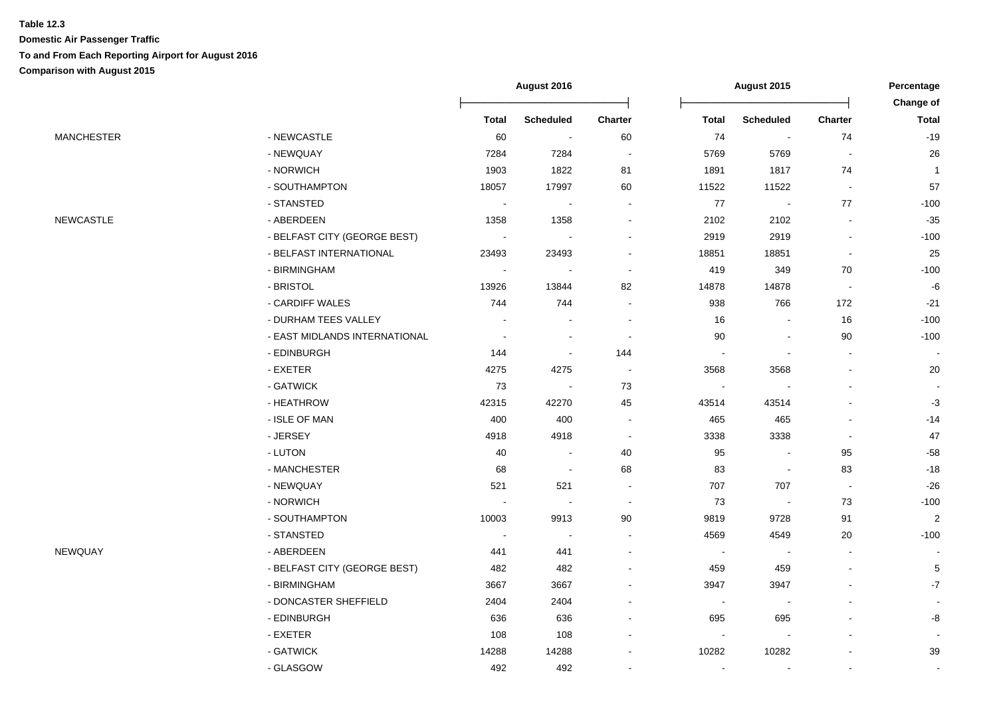|                   |                               | <b>August 2016</b> |                          |                          | <b>August 2015</b>       | Percentage<br>Change of  |                          |                          |
|-------------------|-------------------------------|--------------------|--------------------------|--------------------------|--------------------------|--------------------------|--------------------------|--------------------------|
|                   |                               | <b>Total</b>       | <b>Scheduled</b>         | <b>Charter</b>           | <b>Total</b>             | <b>Scheduled</b>         | <b>Charter</b>           | <b>Total</b>             |
| <b>MANCHESTER</b> | - NEWCASTLE                   | 60                 | $\bullet$                | 60                       | 74                       | $\sim$                   | 74                       | $-19$                    |
|                   | - NEWQUAY                     | 7284               | 7284                     | $\overline{\phantom{a}}$ | 5769                     | 5769                     | $\blacksquare$           | 26                       |
|                   | - NORWICH                     | 1903               | 1822                     | 81                       | 1891                     | 1817                     | 74                       | $\overline{1}$           |
|                   | - SOUTHAMPTON                 | 18057              | 17997                    | 60                       | 11522                    | 11522                    | $\sim$                   | 57                       |
|                   | - STANSTED                    | $\sim$             | $\blacksquare$           |                          | 77                       | $\overline{\phantom{a}}$ | 77                       | $-100$                   |
| NEWCASTLE         | - ABERDEEN                    | 1358               | 1358                     | $\blacksquare$           | 2102                     | 2102                     | $\blacksquare$           | $-35$                    |
|                   | - BELFAST CITY (GEORGE BEST)  | $\sim$             |                          | $\blacksquare$           | 2919                     | 2919                     | $\blacksquare$           | $-100$                   |
|                   | - BELFAST INTERNATIONAL       | 23493              | 23493                    | $\overline{\phantom{a}}$ | 18851                    | 18851                    | $\overline{\phantom{a}}$ | 25                       |
|                   | - BIRMINGHAM                  | $\sim$             |                          | $\blacksquare$           | 419                      | 349                      | 70                       | $-100$                   |
|                   | - BRISTOL                     | 13926              | 13844                    | 82                       | 14878                    | 14878                    | $\blacksquare$           | $-6$                     |
|                   | - CARDIFF WALES               | 744                | 744                      | $\blacksquare$           | 938                      | 766                      | 172                      | $-21$                    |
|                   | - DURHAM TEES VALLEY          | $\blacksquare$     | $\blacksquare$           | $\overline{\phantom{a}}$ | 16                       | $\blacksquare$           | 16                       | $-100$                   |
|                   | - EAST MIDLANDS INTERNATIONAL | $\sim$             | $\sim$                   | $\overline{\phantom{a}}$ | 90                       | $\sim$                   | $90\,$                   | $-100$                   |
|                   | - EDINBURGH                   | 144                | $\blacksquare$           | 144                      | $\blacksquare$           | $\blacksquare$           |                          | $\overline{\phantom{a}}$ |
|                   | - EXETER                      | 4275               | 4275                     |                          | 3568                     | 3568                     |                          | 20                       |
|                   | - GATWICK                     | 73                 | $\blacksquare$           | 73                       | $\overline{\phantom{a}}$ |                          |                          |                          |
|                   | - HEATHROW                    | 42315              | 42270                    | 45                       | 43514                    | 43514                    |                          | $-3$                     |
|                   | - ISLE OF MAN                 | 400                | 400                      | $\sim$                   | 465                      | 465                      |                          | $-14$                    |
|                   | - JERSEY                      | 4918               | 4918                     | $\overline{\phantom{a}}$ | 3338                     | 3338                     |                          | 47                       |
|                   | - LUTON                       | 40                 | $\blacksquare$           | $40\,$                   | 95                       | $\blacksquare$           | 95                       | $-58$                    |
|                   | - MANCHESTER                  | 68                 | $\overline{\phantom{a}}$ | 68                       | 83                       | $\blacksquare$           | 83                       | $-18$                    |
|                   | - NEWQUAY                     | 521                | 521                      | $\ddot{\phantom{0}}$     | 707                      | 707                      | $\blacksquare$           | $-26$                    |
|                   | - NORWICH                     | $\blacksquare$     | $\sim$                   | $\overline{\phantom{a}}$ | 73                       | $\blacksquare$           | $73\,$                   | $-100$                   |
|                   | - SOUTHAMPTON                 | 10003              | 9913                     | 90                       | 9819                     | 9728                     | 91                       | $\overline{c}$           |
|                   | - STANSTED                    | $\sim$             | $\overline{\phantom{a}}$ | $\overline{a}$           | 4569                     | 4549                     | 20                       | $-100$                   |
| NEWQUAY           | - ABERDEEN                    | 441                | 441                      | $\overline{\phantom{a}}$ |                          | $\blacksquare$           |                          |                          |
|                   | - BELFAST CITY (GEORGE BEST)  | 482                | 482                      | $\blacksquare$           | 459                      | 459                      |                          | 5                        |
|                   | - BIRMINGHAM                  | 3667               | 3667                     |                          | 3947                     | 3947                     |                          | $-7$                     |
|                   | - DONCASTER SHEFFIELD         | 2404               | 2404                     | $\blacksquare$           | $\overline{\phantom{a}}$ | $\overline{\phantom{a}}$ |                          |                          |
|                   | - EDINBURGH                   | 636                | 636                      | $\blacksquare$           | 695                      | 695                      |                          | -8                       |
|                   | - EXETER                      | 108                | 108                      | $\overline{a}$           | $\blacksquare$           | $\overline{\phantom{a}}$ |                          |                          |
|                   | - GATWICK                     | 14288              | 14288                    |                          | 10282                    | 10282                    |                          | 39                       |
|                   | - GLASGOW                     | 492                | 492                      | $\overline{a}$           | $\blacksquare$           | $\blacksquare$           |                          | $\blacksquare$           |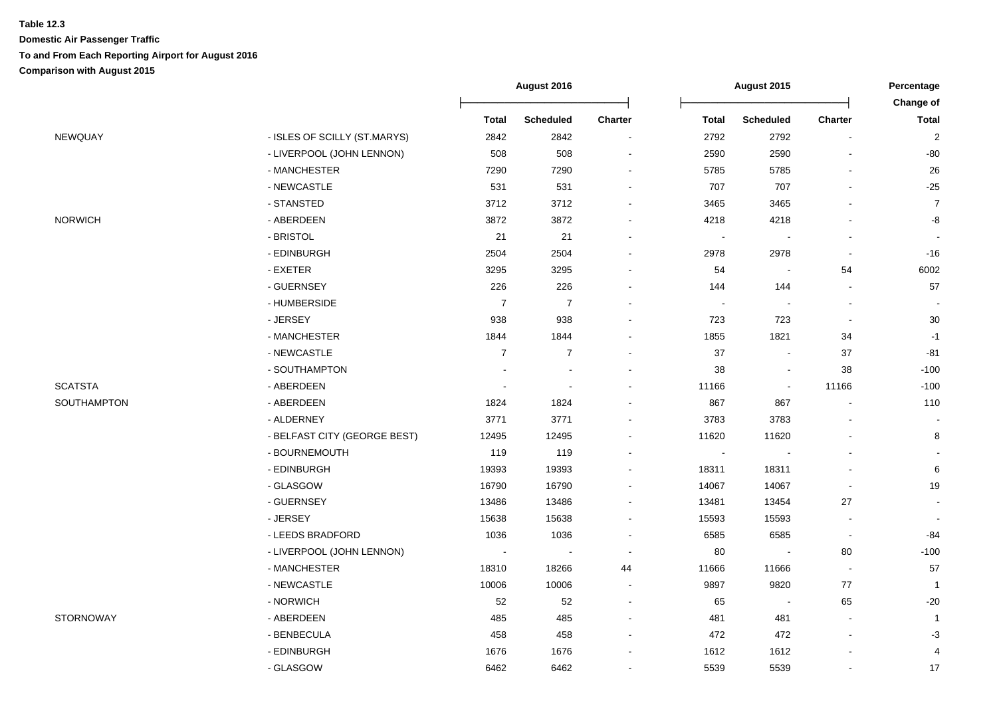|                  |                              |                          | August 2016      |         |                          | August 2015              |                          |                           |
|------------------|------------------------------|--------------------------|------------------|---------|--------------------------|--------------------------|--------------------------|---------------------------|
|                  |                              | <b>Total</b>             | <b>Scheduled</b> | Charter | <b>Total</b>             | <b>Scheduled</b>         | Charter                  | Change of<br><b>Total</b> |
| NEWQUAY          | - ISLES OF SCILLY (ST.MARYS) | 2842                     | 2842             |         | 2792                     | 2792                     | $\overline{\phantom{a}}$ | $\overline{2}$            |
|                  | - LIVERPOOL (JOHN LENNON)    | 508                      | 508              |         | 2590                     | 2590                     |                          | -80                       |
|                  | - MANCHESTER                 | 7290                     | 7290             |         | 5785                     | 5785                     |                          | 26                        |
|                  | - NEWCASTLE                  | 531                      | 531              |         | 707                      | 707                      |                          | $-25$                     |
|                  | - STANSTED                   | 3712                     | 3712             |         | 3465                     | 3465                     |                          | $\overline{7}$            |
| <b>NORWICH</b>   | - ABERDEEN                   | 3872                     | 3872             |         | 4218                     | 4218                     |                          | -8                        |
|                  | - BRISTOL                    | 21                       | 21               |         | $\overline{\phantom{a}}$ |                          |                          |                           |
|                  | - EDINBURGH                  | 2504                     | 2504             |         | 2978                     | 2978                     | $\overline{a}$           | $-16$                     |
|                  | - EXETER                     | 3295                     | 3295             |         | 54                       | $\overline{\phantom{a}}$ | 54                       | 6002                      |
|                  | - GUERNSEY                   | 226                      | 226              |         | 144                      | 144                      |                          | 57                        |
|                  | - HUMBERSIDE                 | $\overline{7}$           | $\overline{7}$   |         | $\overline{\phantom{a}}$ | $\overline{\phantom{a}}$ |                          |                           |
|                  | - JERSEY                     | 938                      | 938              |         | 723                      | 723                      | $\blacksquare$           | $30\,$                    |
|                  | - MANCHESTER                 | 1844                     | 1844             |         | 1855                     | 1821                     | 34                       | $-1$                      |
|                  | - NEWCASTLE                  | $\overline{7}$           | $\overline{7}$   |         | 37                       |                          | 37                       | $-81$                     |
|                  | - SOUTHAMPTON                |                          |                  |         | 38                       |                          | 38                       | $-100$                    |
| SCATSTA          | - ABERDEEN                   |                          |                  |         | 11166                    | $\blacksquare$           | 11166                    | $-100$                    |
| SOUTHAMPTON      | - ABERDEEN                   | 1824                     | 1824             |         | 867                      | 867                      |                          | 110                       |
|                  | - ALDERNEY                   | 3771                     | 3771             |         | 3783                     | 3783                     |                          |                           |
|                  | - BELFAST CITY (GEORGE BEST) | 12495                    | 12495            |         | 11620                    | 11620                    |                          | 8                         |
|                  | - BOURNEMOUTH                | 119                      | 119              |         | $\blacksquare$           |                          |                          |                           |
|                  | - EDINBURGH                  | 19393                    | 19393            |         | 18311                    | 18311                    |                          | 6                         |
|                  | - GLASGOW                    | 16790                    | 16790            |         | 14067                    | 14067                    | $\blacksquare$           | 19                        |
|                  | - GUERNSEY                   | 13486                    | 13486            |         | 13481                    | 13454                    | 27                       |                           |
|                  | - JERSEY                     | 15638                    | 15638            |         | 15593                    | 15593                    | $\blacksquare$           |                           |
|                  | - LEEDS BRADFORD             | 1036                     | 1036             |         | 6585                     | 6585                     | $\blacksquare$           | -84                       |
|                  | - LIVERPOOL (JOHN LENNON)    | $\overline{\phantom{a}}$ |                  |         | 80                       | $\blacksquare$           | 80                       | $-100$                    |
|                  | - MANCHESTER                 | 18310                    | 18266            | 44      | 11666                    | 11666                    |                          | 57                        |
|                  | - NEWCASTLE                  | 10006                    | 10006            |         | 9897                     | 9820                     | 77                       | $\overline{1}$            |
|                  | - NORWICH                    | 52                       | 52               |         | 65                       | $\overline{\phantom{a}}$ | 65                       | $-20$                     |
| <b>STORNOWAY</b> | - ABERDEEN                   | 485                      | 485              |         | 481                      | 481                      |                          | $\overline{1}$            |
|                  | - BENBECULA                  | 458                      | 458              |         | 472                      | 472                      | $\blacksquare$           | $-3$                      |
|                  | - EDINBURGH                  | 1676                     | 1676             |         | 1612                     | 1612                     |                          | 4                         |
|                  | - GLASGOW                    | 6462                     | 6462             |         | 5539                     | 5539                     |                          | 17                        |
|                  |                              |                          |                  |         |                          |                          |                          |                           |